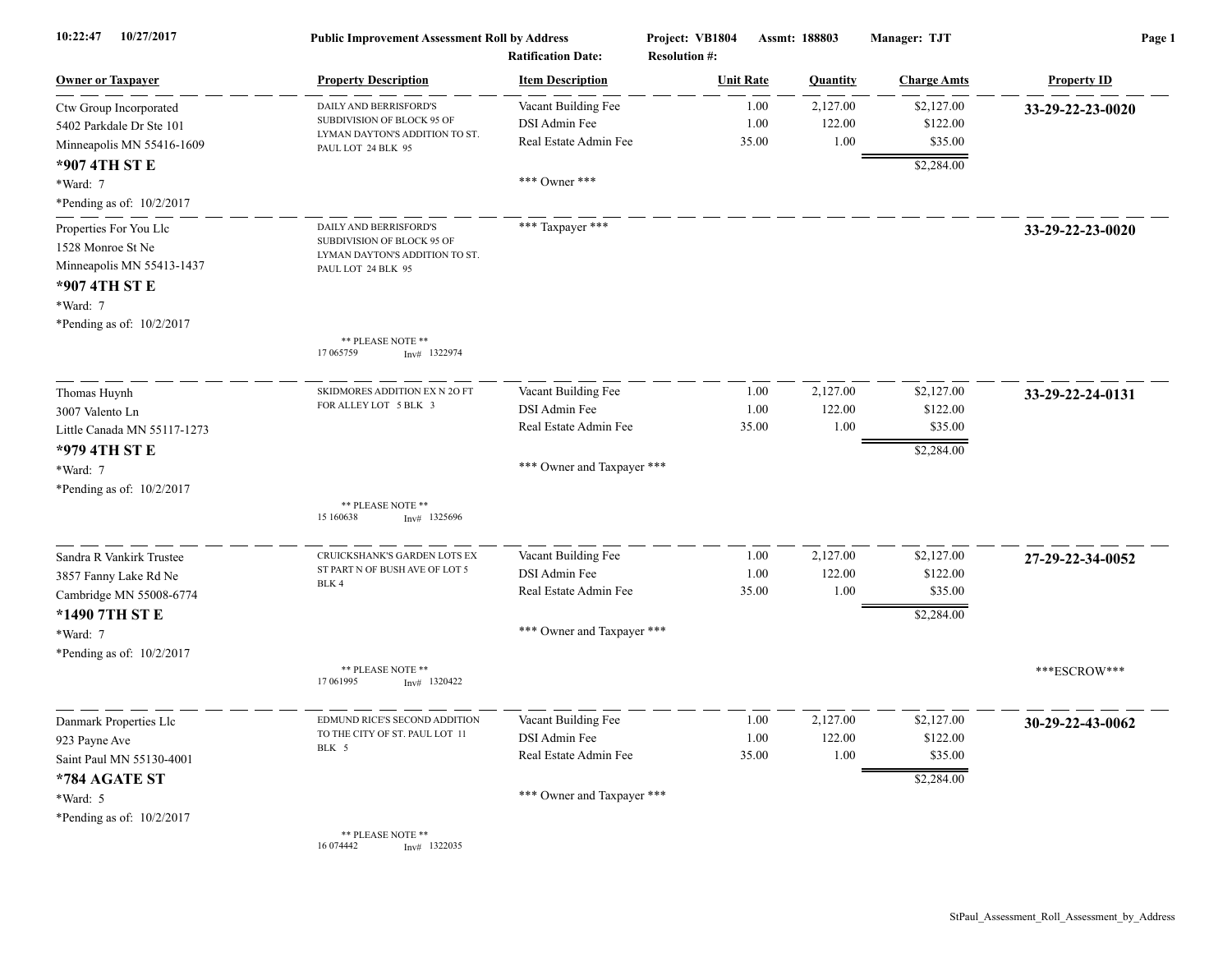| 10:22:47<br>10/27/2017                                                                                                             | <b>Public Improvement Assessment Roll by Address</b><br><b>Ratification Date:</b>                            |                                                                                             | Project: VB1804<br><b>Resolution #:</b> | Assmt: 188803              | Manager: TJT                                    | Page 1             |  |
|------------------------------------------------------------------------------------------------------------------------------------|--------------------------------------------------------------------------------------------------------------|---------------------------------------------------------------------------------------------|-----------------------------------------|----------------------------|-------------------------------------------------|--------------------|--|
| <b>Owner or Taxpayer</b>                                                                                                           | <b>Property Description</b>                                                                                  | <b>Item Description</b>                                                                     | <b>Unit Rate</b>                        | <b>Quantity</b>            | <b>Charge Amts</b>                              | <b>Property ID</b> |  |
| Ctw Group Incorporated<br>5402 Parkdale Dr Ste 101<br>Minneapolis MN 55416-1609                                                    | DAILY AND BERRISFORD'S<br>SUBDIVISION OF BLOCK 95 OF<br>LYMAN DAYTON'S ADDITION TO ST.<br>PAUL LOT 24 BLK 95 | Vacant Building Fee<br>DSI Admin Fee<br>Real Estate Admin Fee                               | 1.00<br>1.00<br>35.00                   | 2,127.00<br>122.00<br>1.00 | \$2,127.00<br>\$122.00<br>\$35.00               | 33-29-22-23-0020   |  |
| *907 4TH ST E<br>*Ward: 7<br>*Pending as of: 10/2/2017                                                                             |                                                                                                              | *** Owner ***                                                                               |                                         |                            | \$2,284.00                                      |                    |  |
| Properties For You Llc<br>1528 Monroe St Ne<br>Minneapolis MN 55413-1437<br>*907 4TH ST E<br>*Ward: 7<br>*Pending as of: 10/2/2017 | DAILY AND BERRISFORD'S<br>SUBDIVISION OF BLOCK 95 OF<br>LYMAN DAYTON'S ADDITION TO ST.<br>PAUL LOT 24 BLK 95 | *** Taxpayer ***                                                                            |                                         |                            |                                                 | 33-29-22-23-0020   |  |
|                                                                                                                                    | ** PLEASE NOTE **<br>17 065759<br>$Inv#$ 1322974                                                             |                                                                                             |                                         |                            |                                                 |                    |  |
| Thomas Huynh<br>3007 Valento Ln<br>Little Canada MN 55117-1273                                                                     | SKIDMORES ADDITION EX N 2O FT<br>FOR ALLEY LOT 5 BLK 3                                                       | Vacant Building Fee<br>DSI Admin Fee<br>Real Estate Admin Fee                               | 1.00<br>1.00<br>35.00                   | 2,127.00<br>122.00<br>1.00 | \$2,127.00<br>\$122.00<br>\$35.00               | 33-29-22-24-0131   |  |
| *979 4TH ST E<br>*Ward: 7<br>*Pending as of: 10/2/2017                                                                             |                                                                                                              | *** Owner and Taxpayer ***                                                                  |                                         |                            | \$2,284.00                                      |                    |  |
|                                                                                                                                    | ** PLEASE NOTE **<br>15 160638<br>$Inv#$ 1325696                                                             |                                                                                             |                                         |                            |                                                 |                    |  |
| Sandra R Vankirk Trustee<br>3857 Fanny Lake Rd Ne<br>Cambridge MN 55008-6774<br>*1490 7TH ST E<br>*Ward: 7                         | CRUICKSHANK'S GARDEN LOTS EX<br>ST PART N OF BUSH AVE OF LOT 5<br>BLK 4                                      | Vacant Building Fee<br>DSI Admin Fee<br>Real Estate Admin Fee<br>*** Owner and Taxpayer *** | 1.00<br>1.00<br>35.00                   | 2,127.00<br>122.00<br>1.00 | \$2,127.00<br>\$122.00<br>\$35.00<br>\$2,284.00 | 27-29-22-34-0052   |  |
| *Pending as of: 10/2/2017                                                                                                          | ** PLEASE NOTE **<br>17 06 1995<br>$Inv#$ 1320422                                                            |                                                                                             |                                         |                            |                                                 | ***ESCROW***       |  |
| Danmark Properties Llc<br>923 Payne Ave<br>Saint Paul MN 55130-4001                                                                | EDMUND RICE'S SECOND ADDITION<br>TO THE CITY OF ST. PAUL LOT 11<br>BLK 5                                     | Vacant Building Fee<br>DSI Admin Fee<br>Real Estate Admin Fee                               | 1.00<br>1.00<br>35.00                   | 2,127.00<br>122.00<br>1.00 | \$2,127.00<br>\$122.00<br>\$35.00               | 30-29-22-43-0062   |  |
| *784 AGATE ST<br>*Ward: 5<br>*Pending as of: 10/2/2017                                                                             | ** PLEASE NOTE **<br>12220                                                                                   | *** Owner and Taxpayer ***                                                                  |                                         |                            | \$2,284.00                                      |                    |  |

16 074442 Inv# 1322035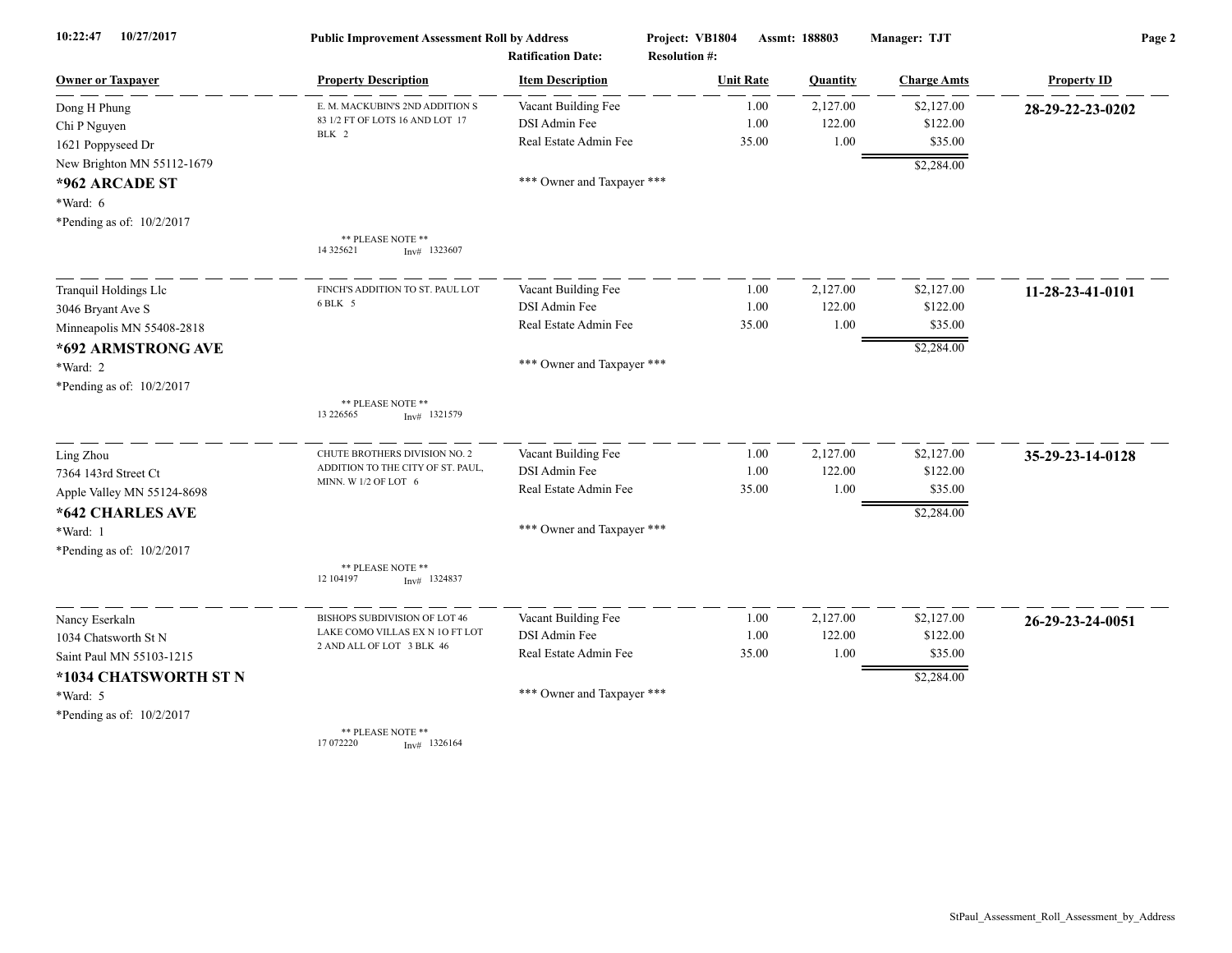| 10/27/2017<br>10:22:47     | <b>Public Improvement Assessment Roll by Address</b> |                                                      | Project: VB1804                          | Assmt: 188803 |          | Manager: TJT       | Page 2             |  |
|----------------------------|------------------------------------------------------|------------------------------------------------------|------------------------------------------|---------------|----------|--------------------|--------------------|--|
| <b>Owner or Taxpayer</b>   | <b>Property Description</b>                          | <b>Ratification Date:</b><br><b>Item Description</b> | <b>Resolution #:</b><br><b>Unit Rate</b> |               | Quantity | <b>Charge Amts</b> | <b>Property ID</b> |  |
| Dong H Phung               | E. M. MACKUBIN'S 2ND ADDITION S                      | Vacant Building Fee                                  |                                          | 1.00          | 2,127.00 | \$2,127.00         | 28-29-22-23-0202   |  |
| Chi P Nguyen               | 83 1/2 FT OF LOTS 16 AND LOT 17                      | DSI Admin Fee                                        |                                          | 1.00          | 122.00   | \$122.00           |                    |  |
| 1621 Poppyseed Dr          | BLK 2                                                | Real Estate Admin Fee                                |                                          | 35.00         | 1.00     | \$35.00            |                    |  |
| New Brighton MN 55112-1679 |                                                      |                                                      |                                          |               |          | \$2,284.00         |                    |  |
| *962 ARCADE ST             |                                                      | *** Owner and Taxpayer ***                           |                                          |               |          |                    |                    |  |
| *Ward: 6                   |                                                      |                                                      |                                          |               |          |                    |                    |  |
| *Pending as of: 10/2/2017  |                                                      |                                                      |                                          |               |          |                    |                    |  |
|                            | ** PLEASE NOTE **<br>14 3 25 6 21<br>$Inv#$ 1323607  |                                                      |                                          |               |          |                    |                    |  |
| Tranquil Holdings Llc      | FINCH'S ADDITION TO ST. PAUL LOT                     | Vacant Building Fee                                  |                                          | 1.00          | 2,127.00 | \$2,127.00         | 11-28-23-41-0101   |  |
| 3046 Bryant Ave S          | 6 BLK 5                                              | DSI Admin Fee                                        |                                          | 1.00          | 122.00   | \$122.00           |                    |  |
| Minneapolis MN 55408-2818  |                                                      | Real Estate Admin Fee                                |                                          | 35.00         | 1.00     | \$35.00            |                    |  |
| *692 ARMSTRONG AVE         |                                                      |                                                      |                                          |               |          | \$2,284.00         |                    |  |
| *Ward: 2                   |                                                      | *** Owner and Taxpayer ***                           |                                          |               |          |                    |                    |  |
| *Pending as of: 10/2/2017  |                                                      |                                                      |                                          |               |          |                    |                    |  |
|                            | ** PLEASE NOTE **<br>13 226565<br>$Inv#$ 1321579     |                                                      |                                          |               |          |                    |                    |  |
| Ling Zhou                  | CHUTE BROTHERS DIVISION NO. 2                        | Vacant Building Fee                                  |                                          | 1.00          | 2,127.00 | \$2,127.00         | 35-29-23-14-0128   |  |
| 7364 143rd Street Ct       | ADDITION TO THE CITY OF ST. PAUL,                    | DSI Admin Fee                                        |                                          | 1.00          | 122.00   | \$122.00           |                    |  |
| Apple Valley MN 55124-8698 | MINN. W 1/2 OF LOT 6                                 | Real Estate Admin Fee                                |                                          | 35.00         | 1.00     | \$35.00            |                    |  |
| *642 CHARLES AVE           |                                                      |                                                      |                                          |               |          | \$2,284.00         |                    |  |
| *Ward: 1                   |                                                      | *** Owner and Taxpayer ***                           |                                          |               |          |                    |                    |  |
| *Pending as of: 10/2/2017  |                                                      |                                                      |                                          |               |          |                    |                    |  |
|                            | ** PLEASE NOTE **<br>12 104197<br>$Inv#$ 1324837     |                                                      |                                          |               |          |                    |                    |  |
| Nancy Eserkaln             | BISHOPS SUBDIVISION OF LOT 46                        | Vacant Building Fee                                  |                                          | 1.00          | 2,127.00 | \$2,127.00         | 26-29-23-24-0051   |  |
| 1034 Chatsworth St N       | LAKE COMO VILLAS EX N 10 FT LOT                      | DSI Admin Fee                                        |                                          | 1.00          | 122.00   | \$122.00           |                    |  |
| Saint Paul MN 55103-1215   | 2 AND ALL OF LOT 3 BLK 46                            | Real Estate Admin Fee                                |                                          | 35.00         | 1.00     | \$35.00            |                    |  |
| *1034 CHATSWORTH ST N      |                                                      |                                                      |                                          |               |          | \$2,284.00         |                    |  |
| *Ward: 5                   |                                                      | *** Owner and Taxpayer ***                           |                                          |               |          |                    |                    |  |
| *Pending as of: 10/2/2017  |                                                      |                                                      |                                          |               |          |                    |                    |  |
|                            | ** PLEASE NOTE **<br>17 072220<br>$Inv#$ 1326164     |                                                      |                                          |               |          |                    |                    |  |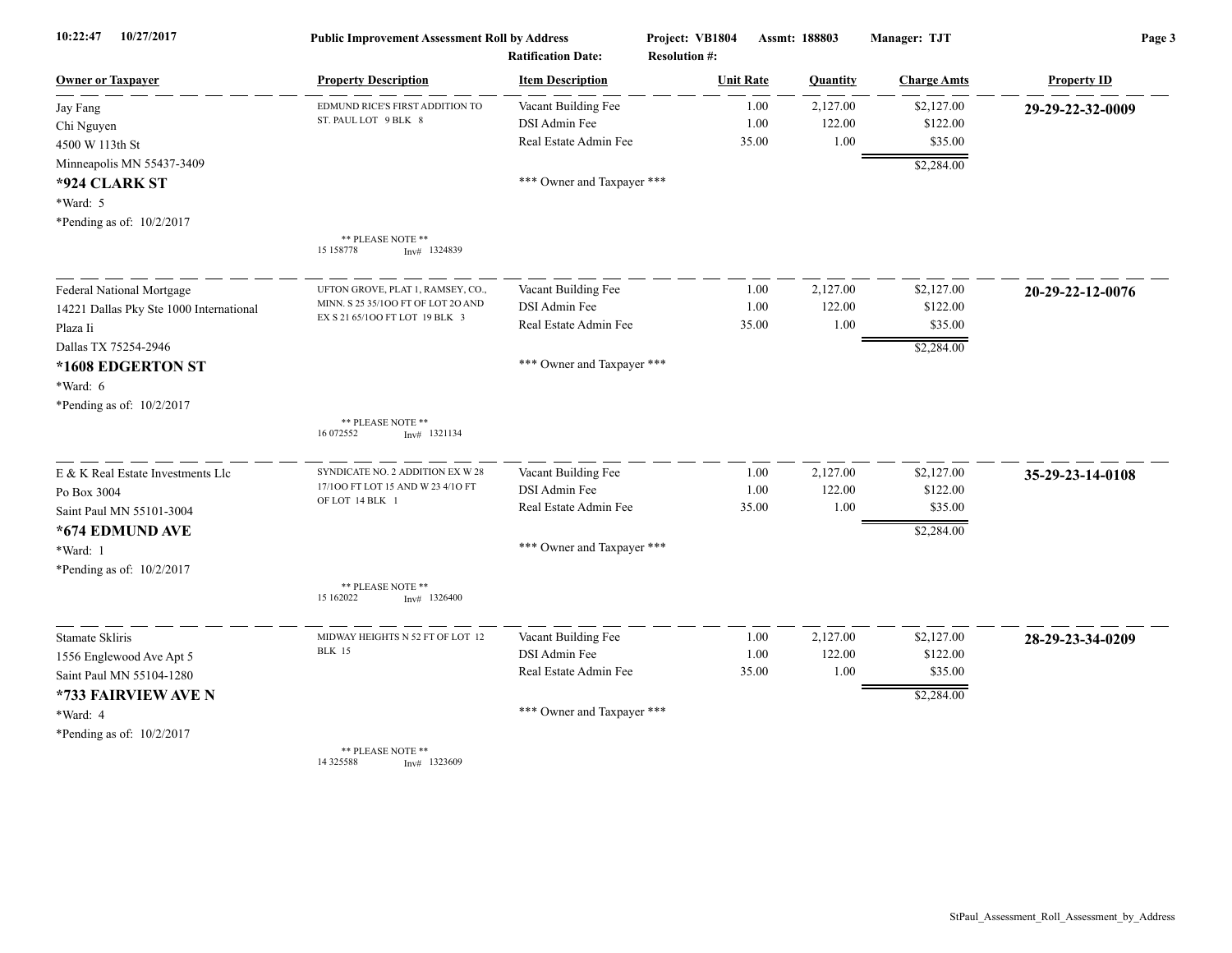| 10:22:47<br>10/27/2017                  | <b>Public Improvement Assessment Roll by Address</b><br><b>Ratification Date:</b> |                            | Project: VB1804<br><b>Resolution #:</b> | Assmt: 188803 | Manager: TJT       | Page 3             |  |
|-----------------------------------------|-----------------------------------------------------------------------------------|----------------------------|-----------------------------------------|---------------|--------------------|--------------------|--|
| <b>Owner or Taxpayer</b>                | <b>Property Description</b>                                                       | <b>Item Description</b>    | <b>Unit Rate</b>                        | Quantity      | <b>Charge Amts</b> | <b>Property ID</b> |  |
| Jay Fang                                | EDMUND RICE'S FIRST ADDITION TO                                                   | Vacant Building Fee        | 1.00                                    | 2,127.00      | \$2,127.00         | 29-29-22-32-0009   |  |
| Chi Nguyen                              | ST. PAUL LOT 9 BLK 8                                                              | DSI Admin Fee              | 1.00                                    | 122.00        | \$122.00           |                    |  |
| 4500 W 113th St                         |                                                                                   | Real Estate Admin Fee      | 35.00                                   | 1.00          | \$35.00            |                    |  |
| Minneapolis MN 55437-3409               |                                                                                   |                            |                                         |               | \$2,284.00         |                    |  |
| *924 CLARK ST                           |                                                                                   | *** Owner and Taxpayer *** |                                         |               |                    |                    |  |
| *Ward: 5                                |                                                                                   |                            |                                         |               |                    |                    |  |
| *Pending as of: 10/2/2017               |                                                                                   |                            |                                         |               |                    |                    |  |
|                                         | ** PLEASE NOTE **<br>15 15 8778<br>$Inv#$ 1324839                                 |                            |                                         |               |                    |                    |  |
| <b>Federal National Mortgage</b>        | UFTON GROVE, PLAT 1, RAMSEY, CO.                                                  | Vacant Building Fee        | 1.00                                    | 2,127.00      | \$2,127.00         | 20-29-22-12-0076   |  |
| 14221 Dallas Pky Ste 1000 International | MINN. S 25 35/100 FT OF LOT 20 AND                                                | DSI Admin Fee              | 1.00                                    | 122.00        | \$122.00           |                    |  |
| Plaza Ii                                | EX S 21 65/100 FT LOT 19 BLK 3                                                    | Real Estate Admin Fee      | 35.00                                   | 1.00          | \$35.00            |                    |  |
| Dallas TX 75254-2946                    |                                                                                   |                            |                                         |               | \$2,284.00         |                    |  |
| *1608 EDGERTON ST                       |                                                                                   | *** Owner and Taxpayer *** |                                         |               |                    |                    |  |
| *Ward: 6                                |                                                                                   |                            |                                         |               |                    |                    |  |
| *Pending as of: 10/2/2017               |                                                                                   |                            |                                         |               |                    |                    |  |
|                                         | ** PLEASE NOTE **<br>16 072552<br>$Inv#$ 1321134                                  |                            |                                         |               |                    |                    |  |
| E & K Real Estate Investments Llc       | SYNDICATE NO. 2 ADDITION EX W 28                                                  | Vacant Building Fee        | 1.00                                    | 2,127.00      | \$2,127.00         | 35-29-23-14-0108   |  |
| Po Box 3004                             | 17/100 FT LOT 15 AND W 23 4/10 FT                                                 | DSI Admin Fee              | 1.00                                    | 122.00        | \$122.00           |                    |  |
| Saint Paul MN 55101-3004                | OF LOT 14 BLK 1                                                                   | Real Estate Admin Fee      | 35.00                                   | 1.00          | \$35.00            |                    |  |
| *674 EDMUND AVE                         |                                                                                   |                            |                                         |               | \$2,284.00         |                    |  |
| *Ward: 1                                |                                                                                   | *** Owner and Taxpayer *** |                                         |               |                    |                    |  |
| *Pending as of: 10/2/2017               |                                                                                   |                            |                                         |               |                    |                    |  |
|                                         | ** PLEASE NOTE **<br>15 162022<br>$Inv#$ 1326400                                  |                            |                                         |               |                    |                    |  |
| Stamate Skliris                         | MIDWAY HEIGHTS N 52 FT OF LOT 12                                                  | Vacant Building Fee        | 1.00                                    | 2,127.00      | \$2,127.00         | 28-29-23-34-0209   |  |
| 1556 Englewood Ave Apt 5                | <b>BLK 15</b>                                                                     | DSI Admin Fee              | 1.00                                    | 122.00        | \$122.00           |                    |  |
| Saint Paul MN 55104-1280                |                                                                                   | Real Estate Admin Fee      | 35.00                                   | 1.00          | \$35.00            |                    |  |
| *733 FAIRVIEW AVE N                     |                                                                                   |                            |                                         |               | \$2,284.00         |                    |  |
| *Ward: 4                                |                                                                                   | *** Owner and Taxpayer *** |                                         |               |                    |                    |  |
| *Pending as of: 10/2/2017               |                                                                                   |                            |                                         |               |                    |                    |  |
|                                         | ** PLEASE NOTE **                                                                 |                            |                                         |               |                    |                    |  |

\*\* PLEASE NOTE \*\* 14 325588 Inv# 1323609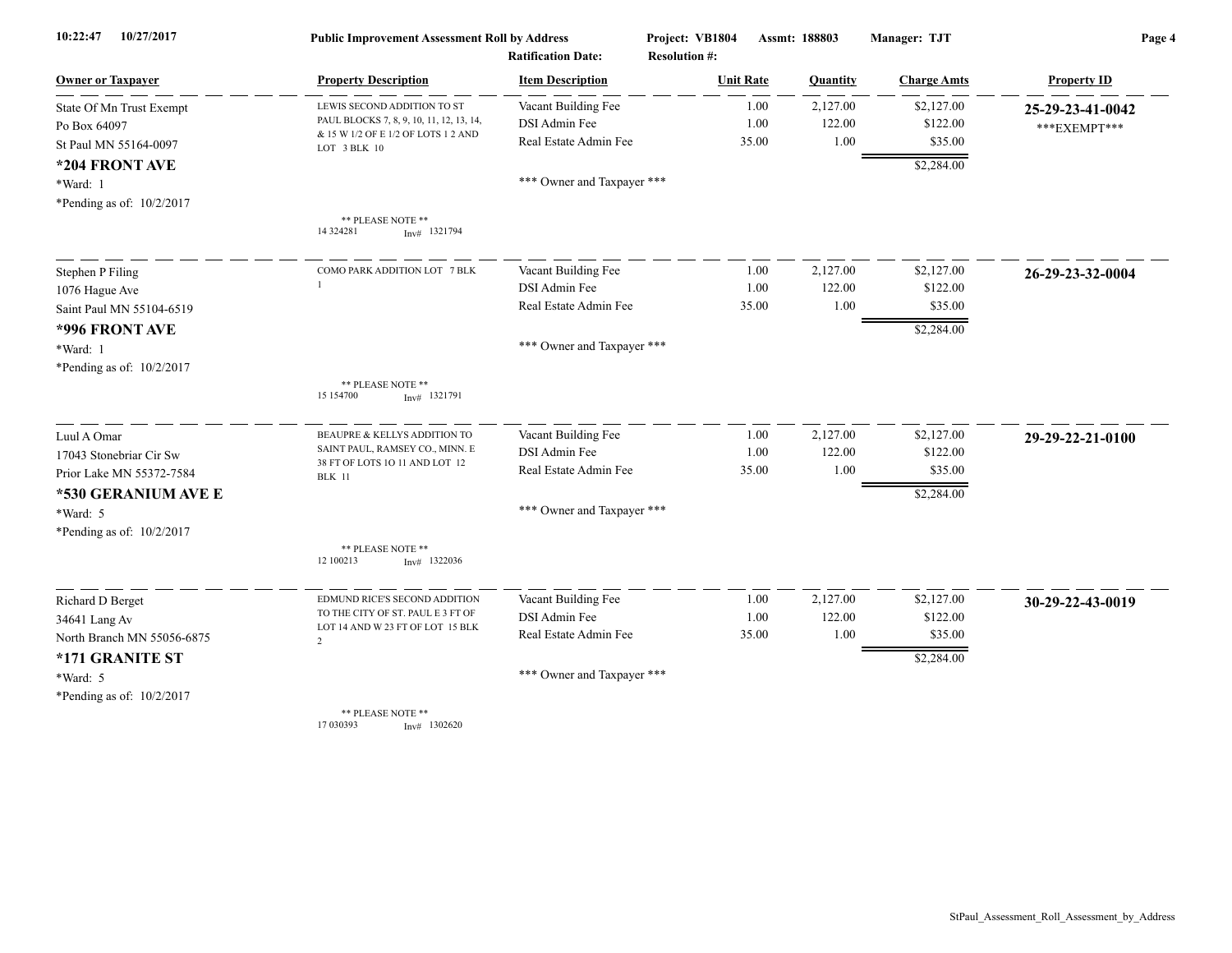| 10/27/2017<br>10:22:47     | <b>Public Improvement Assessment Roll by Address</b><br><b>Ratification Date:</b> |                            | Project: VB1804      | Assmt: 188803 | Manager: TJT       | Page 4             |  |
|----------------------------|-----------------------------------------------------------------------------------|----------------------------|----------------------|---------------|--------------------|--------------------|--|
|                            |                                                                                   |                            | <b>Resolution #:</b> |               |                    |                    |  |
| <b>Owner or Taxpayer</b>   | <b>Property Description</b>                                                       | <b>Item Description</b>    | <b>Unit Rate</b>     | Quantity      | <b>Charge Amts</b> | <b>Property ID</b> |  |
| State Of Mn Trust Exempt   | LEWIS SECOND ADDITION TO ST                                                       | Vacant Building Fee        | 1.00                 | 2,127.00      | \$2,127.00         | 25-29-23-41-0042   |  |
| Po Box 64097               | PAUL BLOCKS 7, 8, 9, 10, 11, 12, 13, 14,<br>& 15 W 1/2 OF E 1/2 OF LOTS 1 2 AND   | DSI Admin Fee              | 1.00                 | 122.00        | \$122.00           | ***EXEMPT***       |  |
| St Paul MN 55164-0097      | LOT 3 BLK 10                                                                      | Real Estate Admin Fee      | 35.00                | 1.00          | \$35.00            |                    |  |
| *204 FRONT AVE             |                                                                                   |                            |                      |               | \$2,284.00         |                    |  |
| *Ward: 1                   |                                                                                   | *** Owner and Taxpayer *** |                      |               |                    |                    |  |
| *Pending as of: 10/2/2017  |                                                                                   |                            |                      |               |                    |                    |  |
|                            | ** PLEASE NOTE **<br>14 324281<br>$Inv#$ 1321794                                  |                            |                      |               |                    |                    |  |
| Stephen P Filing           | COMO PARK ADDITION LOT 7 BLK                                                      | Vacant Building Fee        | 1.00                 | 2,127.00      | \$2,127.00         | 26-29-23-32-0004   |  |
| 1076 Hague Ave             |                                                                                   | DSI Admin Fee              | 1.00                 | 122.00        | \$122.00           |                    |  |
| Saint Paul MN 55104-6519   |                                                                                   | Real Estate Admin Fee      | 35.00                | 1.00          | \$35.00            |                    |  |
| *996 FRONT AVE             |                                                                                   |                            |                      |               | \$2,284.00         |                    |  |
| *Ward: 1                   |                                                                                   | *** Owner and Taxpayer *** |                      |               |                    |                    |  |
| *Pending as of: 10/2/2017  |                                                                                   |                            |                      |               |                    |                    |  |
|                            | ** PLEASE NOTE **<br>15 15 4700<br>$Inv#$ 1321791                                 |                            |                      |               |                    |                    |  |
| Luul A Omar                | BEAUPRE & KELLYS ADDITION TO                                                      | Vacant Building Fee        | 1.00                 | 2,127.00      | \$2,127.00         | 29-29-22-21-0100   |  |
| 17043 Stonebriar Cir Sw    | SAINT PAUL, RAMSEY CO., MINN. E                                                   | DSI Admin Fee              | 1.00                 | 122.00        | \$122.00           |                    |  |
| Prior Lake MN 55372-7584   | 38 FT OF LOTS 10 11 AND LOT 12<br><b>BLK</b> 11                                   | Real Estate Admin Fee      | 35.00                | 1.00          | \$35.00            |                    |  |
| *530 GERANIUM AVE E        |                                                                                   |                            |                      |               | \$2,284.00         |                    |  |
| *Ward: 5                   |                                                                                   | *** Owner and Taxpayer *** |                      |               |                    |                    |  |
| *Pending as of: 10/2/2017  |                                                                                   |                            |                      |               |                    |                    |  |
|                            | ** PLEASE NOTE **<br>12 100213<br>$Inv#$ 1322036                                  |                            |                      |               |                    |                    |  |
| Richard D Berget           | EDMUND RICE'S SECOND ADDITION                                                     | Vacant Building Fee        | 1.00                 | 2,127.00      | \$2,127.00         | 30-29-22-43-0019   |  |
| 34641 Lang Av              | TO THE CITY OF ST. PAUL E 3 FT OF                                                 | DSI Admin Fee              | 1.00                 | 122.00        | \$122.00           |                    |  |
| North Branch MN 55056-6875 | LOT 14 AND W 23 FT OF LOT 15 BLK<br>$\mathcal{L}$                                 | Real Estate Admin Fee      | 35.00                | 1.00          | \$35.00            |                    |  |
| *171 GRANITE ST            |                                                                                   |                            |                      |               | \$2,284.00         |                    |  |
| $*Ward: 5$                 |                                                                                   | *** Owner and Taxpayer *** |                      |               |                    |                    |  |
| *Pending as of: 10/2/2017  |                                                                                   |                            |                      |               |                    |                    |  |
|                            | ** PLEASE NOTE **<br>17 030393<br>$Inv#$ 1302620                                  |                            |                      |               |                    |                    |  |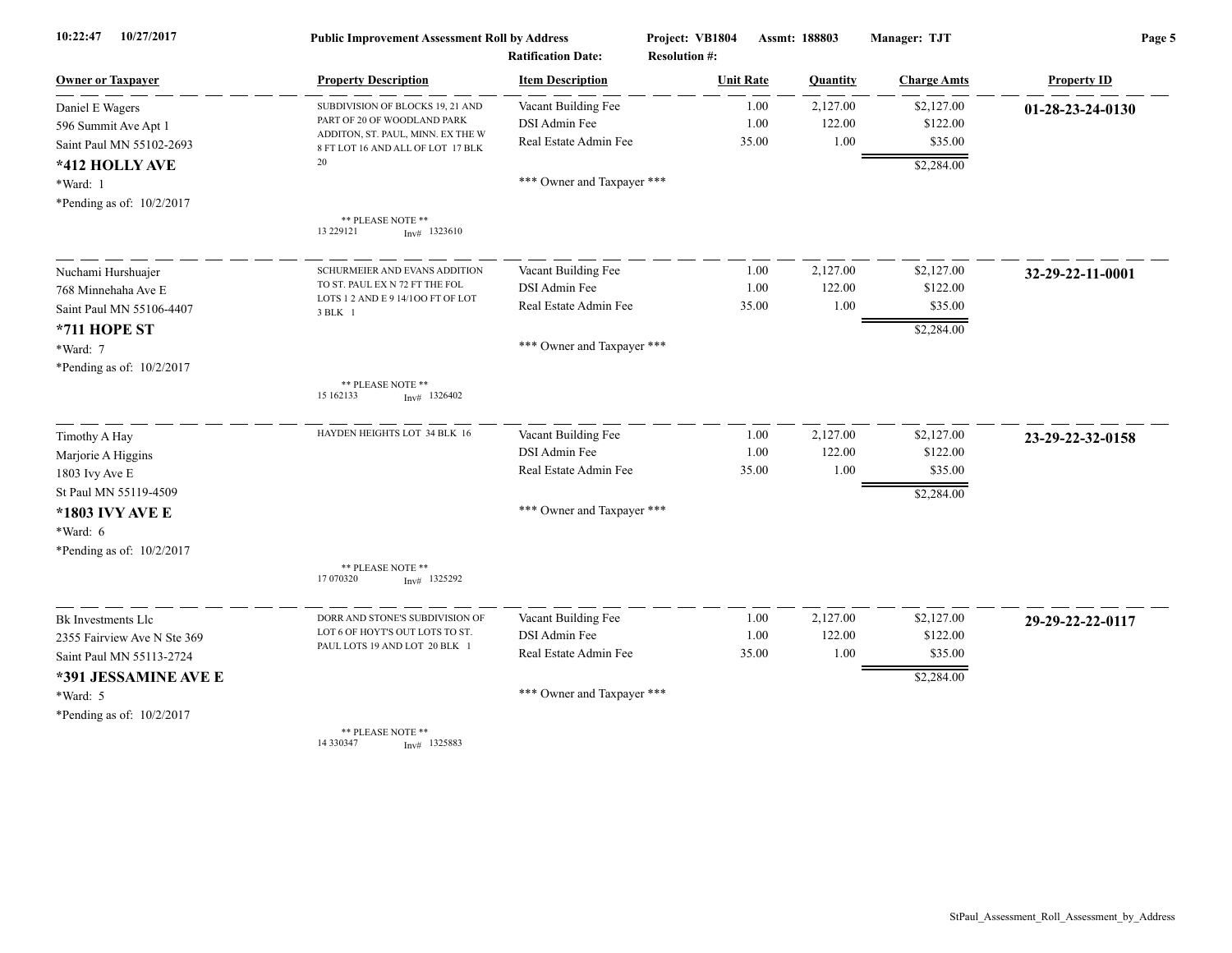| 10/27/2017<br>10:22:47      | <b>Public Improvement Assessment Roll by Address</b><br><b>Ratification Date:</b> |                            | Project: VB1804<br><b>Resolution #:</b> | Assmt: 188803 |          | Manager: TJT       | Page 5             |  |
|-----------------------------|-----------------------------------------------------------------------------------|----------------------------|-----------------------------------------|---------------|----------|--------------------|--------------------|--|
| <b>Owner or Taxpayer</b>    | <b>Property Description</b>                                                       | <b>Item Description</b>    | <b>Unit Rate</b>                        |               | Quantity | <b>Charge Amts</b> | <b>Property ID</b> |  |
| Daniel E Wagers             | SUBDIVISION OF BLOCKS 19, 21 AND                                                  | Vacant Building Fee        |                                         | 1.00          | 2,127.00 | \$2,127.00         | 01-28-23-24-0130   |  |
| 596 Summit Ave Apt 1        | PART OF 20 OF WOODLAND PARK                                                       | DSI Admin Fee              |                                         | 1.00          | 122.00   | \$122.00           |                    |  |
| Saint Paul MN 55102-2693    | ADDITON, ST. PAUL, MINN. EX THE W<br>8 FT LOT 16 AND ALL OF LOT 17 BLK            | Real Estate Admin Fee      |                                         | 35.00         | 1.00     | \$35.00            |                    |  |
| *412 HOLLY AVE              | 20                                                                                |                            |                                         |               |          | \$2,284.00         |                    |  |
| *Ward: 1                    |                                                                                   | *** Owner and Taxpayer *** |                                         |               |          |                    |                    |  |
| *Pending as of: 10/2/2017   |                                                                                   |                            |                                         |               |          |                    |                    |  |
|                             | ** PLEASE NOTE **<br>13 229 121<br>$Inv#$ 1323610                                 |                            |                                         |               |          |                    |                    |  |
| Nuchami Hurshuajer          | SCHURMEIER AND EVANS ADDITION                                                     | Vacant Building Fee        |                                         | 1.00          | 2,127.00 | \$2,127.00         | 32-29-22-11-0001   |  |
| 768 Minnehaha Ave E         | TO ST. PAUL EX N 72 FT THE FOL                                                    | DSI Admin Fee              |                                         | 1.00          | 122.00   | \$122.00           |                    |  |
| Saint Paul MN 55106-4407    | LOTS 1 2 AND E 9 14/100 FT OF LOT<br>3 BLK 1                                      | Real Estate Admin Fee      |                                         | 35.00         | 1.00     | \$35.00            |                    |  |
| *711 HOPE ST                |                                                                                   |                            |                                         |               |          | \$2,284.00         |                    |  |
| *Ward: 7                    |                                                                                   | *** Owner and Taxpayer *** |                                         |               |          |                    |                    |  |
| *Pending as of: $10/2/2017$ |                                                                                   |                            |                                         |               |          |                    |                    |  |
|                             | ** PLEASE NOTE **<br>15 162133<br>$Inv#$ 1326402                                  |                            |                                         |               |          |                    |                    |  |
| Timothy A Hay               | HAYDEN HEIGHTS LOT 34 BLK 16                                                      | Vacant Building Fee        |                                         | 1.00          | 2,127.00 | \$2,127.00         | 23-29-22-32-0158   |  |
| Marjorie A Higgins          |                                                                                   | DSI Admin Fee              |                                         | 1.00          | 122.00   | \$122.00           |                    |  |
| 1803 Ivy Ave E              |                                                                                   | Real Estate Admin Fee      |                                         | 35.00         | 1.00     | \$35.00            |                    |  |
| St Paul MN 55119-4509       |                                                                                   |                            |                                         |               |          | \$2,284.00         |                    |  |
| *1803 IVY AVE E             |                                                                                   | *** Owner and Taxpayer *** |                                         |               |          |                    |                    |  |
| *Ward: 6                    |                                                                                   |                            |                                         |               |          |                    |                    |  |
| *Pending as of: 10/2/2017   |                                                                                   |                            |                                         |               |          |                    |                    |  |
|                             | ** PLEASE NOTE **<br>17 070320<br>$Inv#$ 1325292                                  |                            |                                         |               |          |                    |                    |  |
| Bk Investments Llc          | DORR AND STONE'S SUBDIVISION OF                                                   | Vacant Building Fee        |                                         | 1.00          | 2,127.00 | \$2,127.00         | 29-29-22-22-0117   |  |
| 2355 Fairview Ave N Ste 369 | LOT 6 OF HOYT'S OUT LOTS TO ST.                                                   | DSI Admin Fee              |                                         | 1.00          | 122.00   | \$122.00           |                    |  |
| Saint Paul MN 55113-2724    | PAUL LOTS 19 AND LOT 20 BLK 1                                                     | Real Estate Admin Fee      |                                         | 35.00         | 1.00     | \$35.00            |                    |  |
| *391 JESSAMINE AVE E        |                                                                                   |                            |                                         |               |          | \$2,284.00         |                    |  |
| *Ward: 5                    |                                                                                   | *** Owner and Taxpayer *** |                                         |               |          |                    |                    |  |
| *Pending as of: 10/2/2017   |                                                                                   |                            |                                         |               |          |                    |                    |  |
|                             | ** PLEASE NOTE **<br>14 330347<br>$Inv#$ 1325883                                  |                            |                                         |               |          |                    |                    |  |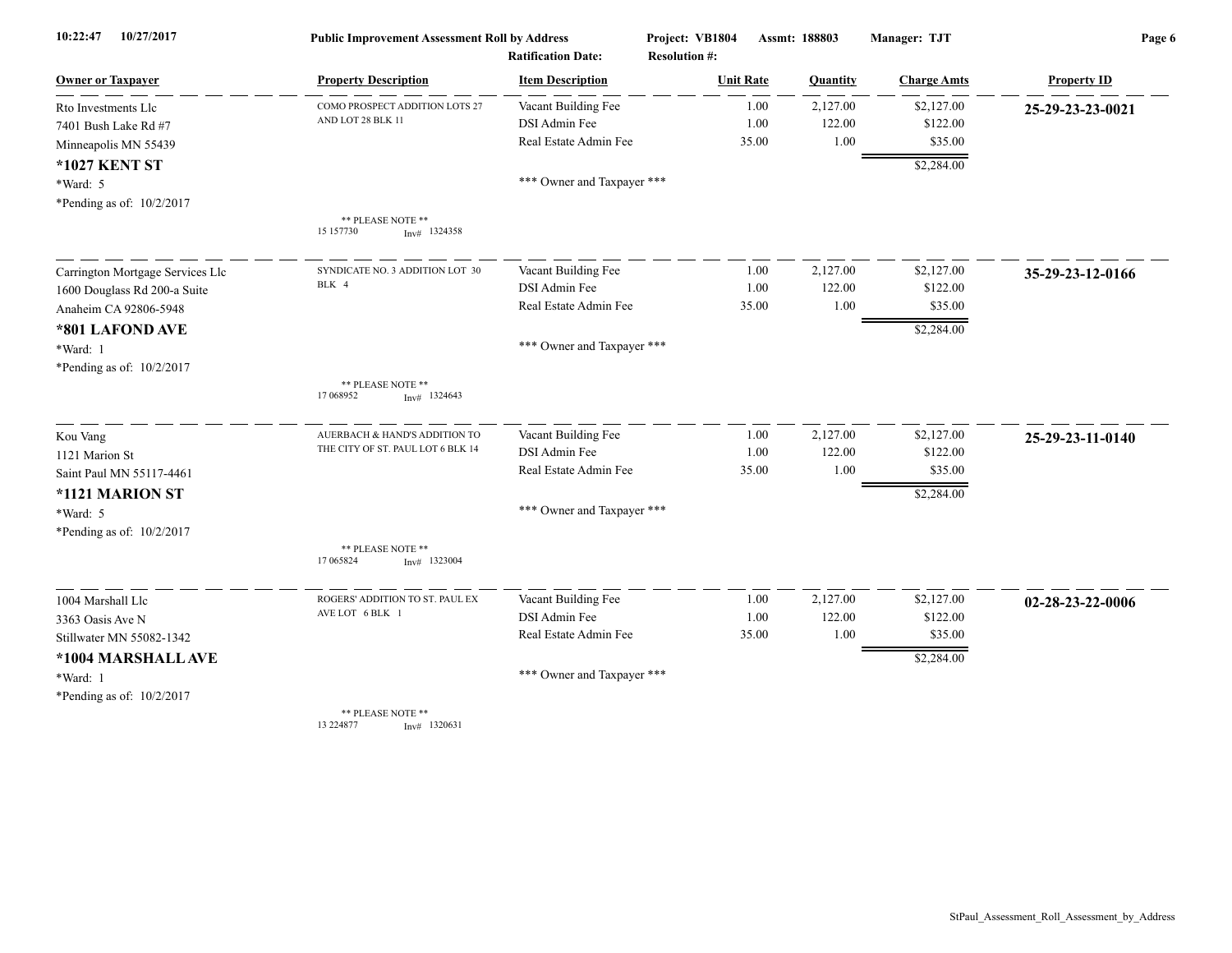| 10/27/2017<br>10:22:47           | <b>Public Improvement Assessment Roll by Address</b><br><b>Ratification Date:</b> |                            | Project: VB1804      | Assmt: 188803 | Manager: TJT       | Page 6             |  |
|----------------------------------|-----------------------------------------------------------------------------------|----------------------------|----------------------|---------------|--------------------|--------------------|--|
|                                  |                                                                                   |                            | <b>Resolution #:</b> |               |                    |                    |  |
| <b>Owner or Taxpayer</b>         | <b>Property Description</b>                                                       | <b>Item Description</b>    | <b>Unit Rate</b>     | Quantity      | <b>Charge Amts</b> | <b>Property ID</b> |  |
| Rto Investments Llc              | COMO PROSPECT ADDITION LOTS 27                                                    | Vacant Building Fee        | 1.00                 | 2,127.00      | \$2,127.00         | 25-29-23-23-0021   |  |
| 7401 Bush Lake Rd #7             | AND LOT 28 BLK 11                                                                 | DSI Admin Fee              | 1.00                 | 122.00        | \$122.00           |                    |  |
| Minneapolis MN 55439             |                                                                                   | Real Estate Admin Fee      | 35.00                | 1.00          | \$35.00            |                    |  |
| *1027 KENT ST                    |                                                                                   |                            |                      |               | \$2,284.00         |                    |  |
| *Ward: 5                         |                                                                                   | *** Owner and Taxpayer *** |                      |               |                    |                    |  |
| *Pending as of: 10/2/2017        |                                                                                   |                            |                      |               |                    |                    |  |
|                                  | ** PLEASE NOTE **<br>15 157730<br>$Inv#$ 1324358                                  |                            |                      |               |                    |                    |  |
| Carrington Mortgage Services Llc | SYNDICATE NO. 3 ADDITION LOT 30                                                   | Vacant Building Fee        | 1.00                 | 2,127.00      | \$2,127.00         | 35-29-23-12-0166   |  |
| 1600 Douglass Rd 200-a Suite     | BLK 4                                                                             | DSI Admin Fee              | 1.00                 | 122.00        | \$122.00           |                    |  |
| Anaheim CA 92806-5948            |                                                                                   | Real Estate Admin Fee      | 35.00                | 1.00          | \$35.00            |                    |  |
| *801 LAFOND AVE                  |                                                                                   |                            |                      |               | \$2,284.00         |                    |  |
| *Ward: 1                         |                                                                                   | *** Owner and Taxpayer *** |                      |               |                    |                    |  |
| *Pending as of: 10/2/2017        |                                                                                   |                            |                      |               |                    |                    |  |
|                                  | ** PLEASE NOTE **<br>17 068952<br>$Inv#$ 1324643                                  |                            |                      |               |                    |                    |  |
| Kou Vang                         | AUERBACH & HAND'S ADDITION TO                                                     | Vacant Building Fee        | 1.00                 | 2,127.00      | \$2,127.00         | 25-29-23-11-0140   |  |
| 1121 Marion St                   | THE CITY OF ST. PAUL LOT 6 BLK 14                                                 | DSI Admin Fee              | 1.00                 | 122.00        | \$122.00           |                    |  |
| Saint Paul MN 55117-4461         |                                                                                   | Real Estate Admin Fee      | 35.00                | 1.00          | \$35.00            |                    |  |
| *1121 MARION ST                  |                                                                                   |                            |                      |               | \$2,284.00         |                    |  |
| *Ward: 5                         |                                                                                   | *** Owner and Taxpayer *** |                      |               |                    |                    |  |
| *Pending as of: 10/2/2017        |                                                                                   |                            |                      |               |                    |                    |  |
|                                  | ** PLEASE NOTE **<br>17 065824<br>$Inv#$ 1323004                                  |                            |                      |               |                    |                    |  |
| 1004 Marshall Llc                | ROGERS' ADDITION TO ST. PAUL EX                                                   | Vacant Building Fee        | 1.00                 | 2,127.00      | \$2,127.00         | 02-28-23-22-0006   |  |
| 3363 Oasis Ave N                 | AVE LOT 6 BLK 1                                                                   | DSI Admin Fee              | 1.00                 | 122.00        | \$122.00           |                    |  |
| Stillwater MN 55082-1342         |                                                                                   | Real Estate Admin Fee      | 35.00                | 1.00          | \$35.00            |                    |  |
| *1004 MARSHALL AVE               |                                                                                   |                            |                      |               | \$2,284.00         |                    |  |
| *Ward: 1                         |                                                                                   | *** Owner and Taxpayer *** |                      |               |                    |                    |  |
| *Pending as of: 10/2/2017        |                                                                                   |                            |                      |               |                    |                    |  |
|                                  | ** PLEASE NOTE **<br>13 224877<br>$Inv#$ 1320631                                  |                            |                      |               |                    |                    |  |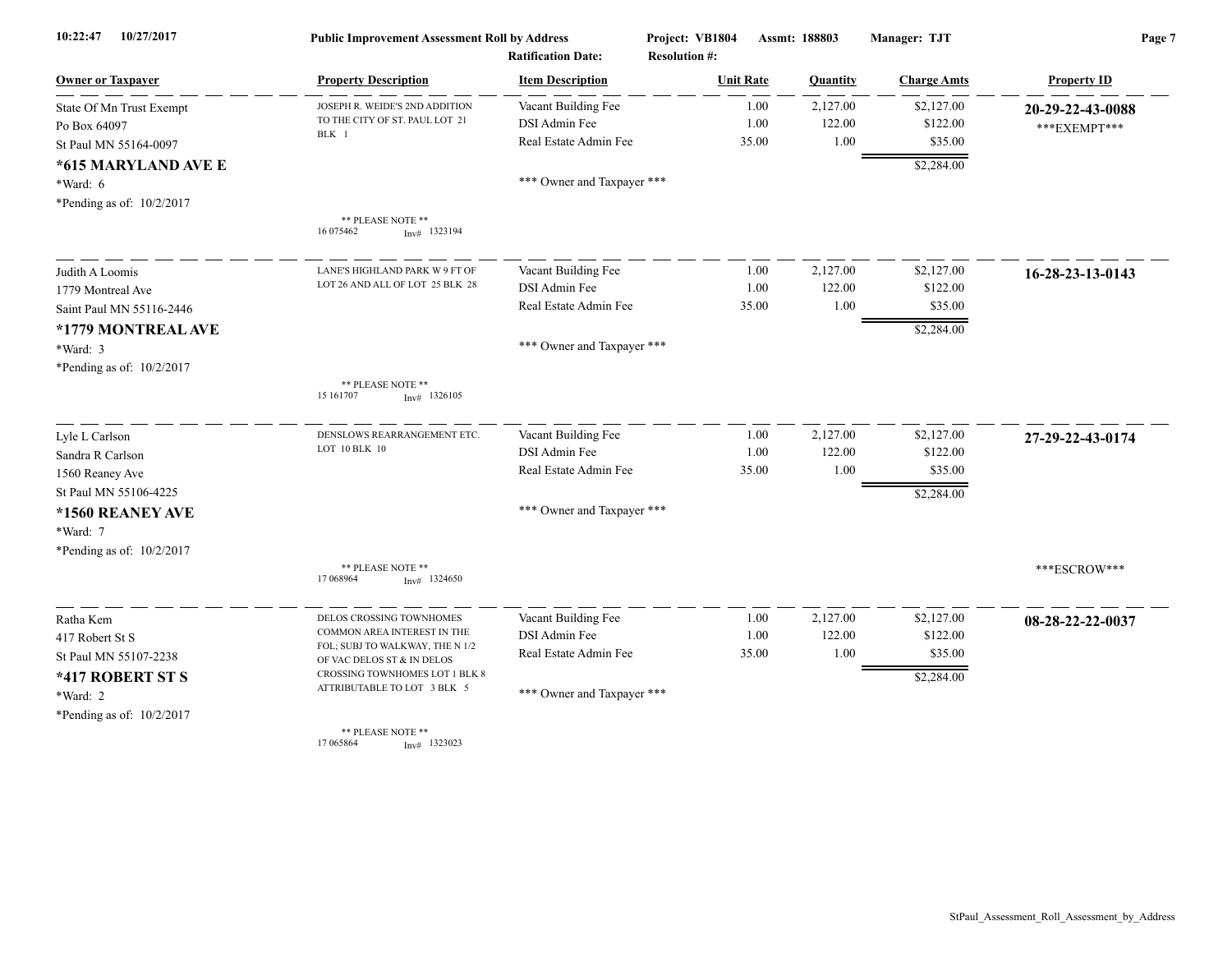| 10/27/2017<br>10:22:47    | <b>Public Improvement Assessment Roll by Address</b>          |                            | Project: VB1804<br>Assmt: 188803 |          | Manager: TJT       | Page 7             |  |
|---------------------------|---------------------------------------------------------------|----------------------------|----------------------------------|----------|--------------------|--------------------|--|
|                           |                                                               | <b>Ratification Date:</b>  | <b>Resolution #:</b>             |          |                    |                    |  |
| <b>Owner or Taxpayer</b>  | <b>Property Description</b>                                   | <b>Item Description</b>    | <b>Unit Rate</b>                 | Quantity | <b>Charge Amts</b> | <b>Property ID</b> |  |
| State Of Mn Trust Exempt  | JOSEPH R. WEIDE'S 2ND ADDITION                                | Vacant Building Fee        | 1.00                             | 2,127.00 | \$2,127.00         | 20-29-22-43-0088   |  |
| Po Box 64097              | TO THE CITY OF ST. PAUL LOT 21                                | DSI Admin Fee              | 1.00                             | 122.00   | \$122.00           | *** EXEMPT***      |  |
| St Paul MN 55164-0097     | BLK 1                                                         | Real Estate Admin Fee      | 35.00                            | 1.00     | \$35.00            |                    |  |
| *615 MARYLAND AVE E       |                                                               |                            |                                  |          | \$2,284.00         |                    |  |
| *Ward: 6                  |                                                               | *** Owner and Taxpayer *** |                                  |          |                    |                    |  |
| *Pending as of: 10/2/2017 |                                                               |                            |                                  |          |                    |                    |  |
|                           | ** PLEASE NOTE **<br>16 075462<br>$Inv#$ 1323194              |                            |                                  |          |                    |                    |  |
| Judith A Loomis           | LANE'S HIGHLAND PARK W 9 FT OF                                | Vacant Building Fee        | 1.00                             | 2,127.00 | \$2,127.00         | 16-28-23-13-0143   |  |
| 1779 Montreal Ave         | LOT 26 AND ALL OF LOT 25 BLK 28                               | DSI Admin Fee              | 1.00                             | 122.00   | \$122.00           |                    |  |
| Saint Paul MN 55116-2446  |                                                               | Real Estate Admin Fee      | 35.00                            | 1.00     | \$35.00            |                    |  |
| *1779 MONTREAL AVE        |                                                               |                            |                                  |          | \$2,284.00         |                    |  |
| $*Ward: 3$                |                                                               | *** Owner and Taxpayer *** |                                  |          |                    |                    |  |
| *Pending as of: 10/2/2017 |                                                               |                            |                                  |          |                    |                    |  |
|                           | ** PLEASE NOTE **<br>15 16 1707<br>$Inv#$ 1326105             |                            |                                  |          |                    |                    |  |
| Lyle L Carlson            | DENSLOWS REARRANGEMENT ETC.                                   | Vacant Building Fee        | 1.00                             | 2,127.00 | \$2,127.00         | 27-29-22-43-0174   |  |
| Sandra R Carlson          | LOT 10 BLK 10                                                 | DSI Admin Fee              | 1.00                             | 122.00   | \$122.00           |                    |  |
| 1560 Reaney Ave           |                                                               | Real Estate Admin Fee      | 35.00                            | 1.00     | \$35.00            |                    |  |
| St Paul MN 55106-4225     |                                                               |                            |                                  |          | \$2,284.00         |                    |  |
| *1560 REANEY AVE          |                                                               | *** Owner and Taxpayer *** |                                  |          |                    |                    |  |
| *Ward: 7                  |                                                               |                            |                                  |          |                    |                    |  |
| *Pending as of: 10/2/2017 |                                                               |                            |                                  |          |                    |                    |  |
|                           | ** PLEASE NOTE **<br>17 068964<br>$Inv#$ 1324650              |                            |                                  |          |                    | ***ESCROW***       |  |
| Ratha Kem                 | DELOS CROSSING TOWNHOMES                                      | Vacant Building Fee        | 1.00                             | 2,127.00 | \$2,127.00         | 08-28-22-22-0037   |  |
| 417 Robert St S           | COMMON AREA INTEREST IN THE                                   | DSI Admin Fee              | 1.00                             | 122.00   | \$122.00           |                    |  |
| St Paul MN 55107-2238     | FOL; SUBJ TO WALKWAY, THE N 1/2<br>OF VAC DELOS ST & IN DELOS | Real Estate Admin Fee      | 35.00                            | 1.00     | \$35.00            |                    |  |
| *417 ROBERT ST S          | CROSSING TOWNHOMES LOT 1 BLK 8                                |                            |                                  |          | \$2,284.00         |                    |  |
| *Ward: 2                  | ATTRIBUTABLE TO LOT 3 BLK 5                                   | *** Owner and Taxpayer *** |                                  |          |                    |                    |  |
| *Pending as of: 10/2/2017 |                                                               |                            |                                  |          |                    |                    |  |
|                           | ** PLEASE NOTE **<br>17 065864<br>$Inv#$ 1323023              |                            |                                  |          |                    |                    |  |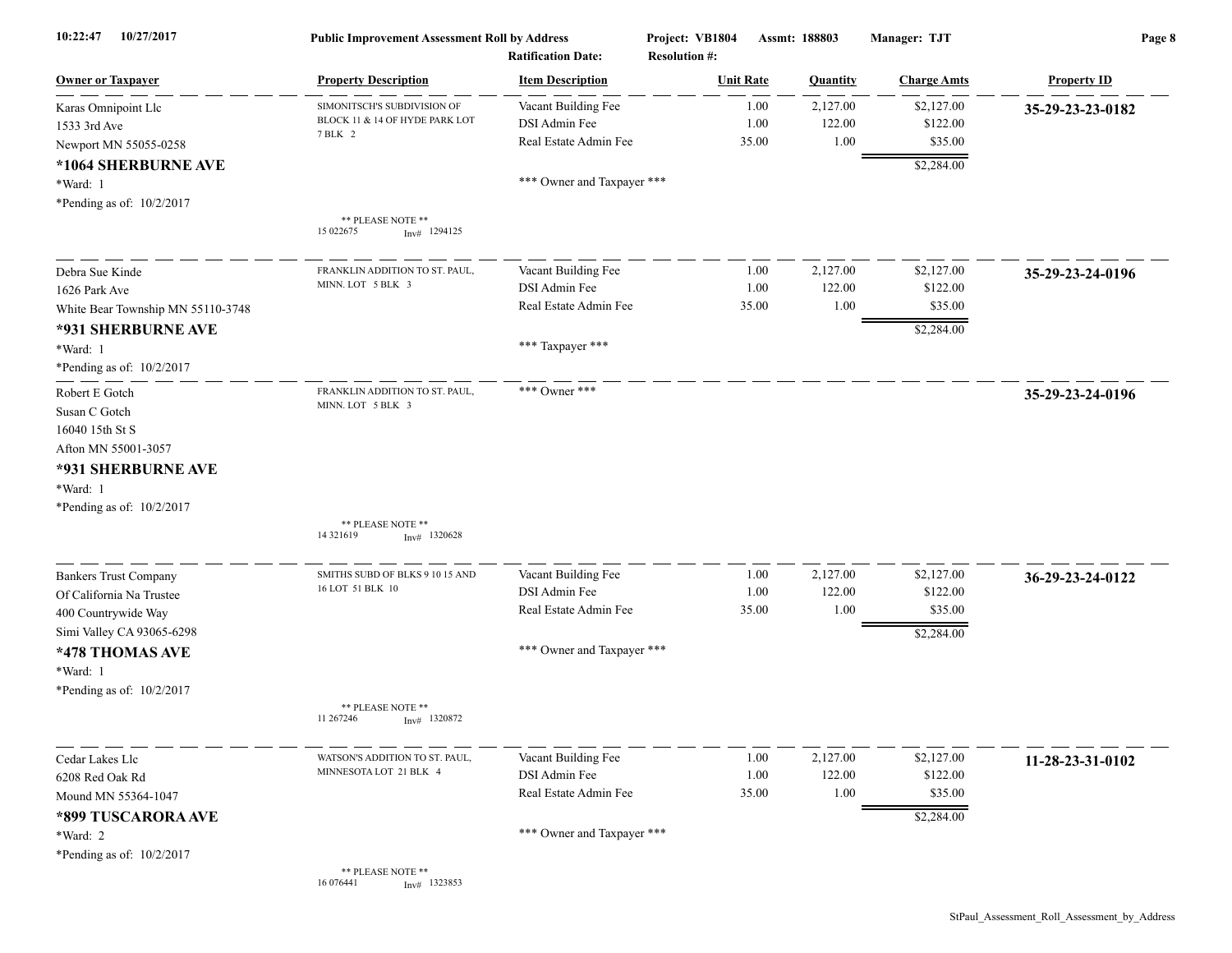| 10/27/2017<br>10:22:47            | <b>Public Improvement Assessment Roll by Address</b><br><b>Ratification Date:</b> |                            | Project: VB1804<br>Assmt: 188803<br><b>Resolution #:</b> |          | Manager: TJT       | Page 8             |  |
|-----------------------------------|-----------------------------------------------------------------------------------|----------------------------|----------------------------------------------------------|----------|--------------------|--------------------|--|
| <b>Owner or Taxpayer</b>          | <b>Property Description</b>                                                       | <b>Item Description</b>    | <b>Unit Rate</b>                                         | Quantity | <b>Charge Amts</b> | <b>Property ID</b> |  |
| Karas Omnipoint Llc               | SIMONITSCH'S SUBDIVISION OF                                                       | Vacant Building Fee        | 1.00                                                     | 2,127.00 | \$2,127.00         | 35-29-23-23-0182   |  |
| 1533 3rd Ave                      | BLOCK 11 & 14 OF HYDE PARK LOT                                                    | DSI Admin Fee              | 1.00                                                     | 122.00   | \$122.00           |                    |  |
| Newport MN 55055-0258             | 7 BLK 2                                                                           | Real Estate Admin Fee      | 35.00                                                    | 1.00     | \$35.00            |                    |  |
| *1064 SHERBURNE AVE               |                                                                                   |                            |                                                          |          | \$2,284.00         |                    |  |
| *Ward: 1                          |                                                                                   | *** Owner and Taxpayer *** |                                                          |          |                    |                    |  |
| *Pending as of: 10/2/2017         |                                                                                   |                            |                                                          |          |                    |                    |  |
|                                   | ** PLEASE NOTE **<br>15 022675<br>$Inv#$ 1294125                                  |                            |                                                          |          |                    |                    |  |
| Debra Sue Kinde                   | FRANKLIN ADDITION TO ST. PAUL.                                                    | Vacant Building Fee        | 1.00                                                     | 2,127.00 | \$2,127.00         | 35-29-23-24-0196   |  |
| 1626 Park Ave                     | MINN. LOT 5 BLK 3                                                                 | DSI Admin Fee              | 1.00                                                     | 122.00   | \$122.00           |                    |  |
| White Bear Township MN 55110-3748 |                                                                                   | Real Estate Admin Fee      | 35.00                                                    | 1.00     | \$35.00            |                    |  |
| *931 SHERBURNE AVE                |                                                                                   |                            |                                                          |          | \$2,284.00         |                    |  |
| *Ward: 1                          |                                                                                   | *** Taxpayer ***           |                                                          |          |                    |                    |  |
| *Pending as of: 10/2/2017         |                                                                                   |                            |                                                          |          |                    |                    |  |
| Robert E Gotch                    | FRANKLIN ADDITION TO ST. PAUL,                                                    | *** Owner ***              |                                                          |          |                    | 35-29-23-24-0196   |  |
| Susan C Gotch                     | MINN. LOT 5 BLK 3                                                                 |                            |                                                          |          |                    |                    |  |
| 16040 15th St S                   |                                                                                   |                            |                                                          |          |                    |                    |  |
| Afton MN 55001-3057               |                                                                                   |                            |                                                          |          |                    |                    |  |
|                                   |                                                                                   |                            |                                                          |          |                    |                    |  |
| *931 SHERBURNE AVE                |                                                                                   |                            |                                                          |          |                    |                    |  |
| *Ward: 1                          |                                                                                   |                            |                                                          |          |                    |                    |  |
| *Pending as of: 10/2/2017         |                                                                                   |                            |                                                          |          |                    |                    |  |
|                                   | ** PLEASE NOTE **<br>14 32 16 19<br>$Inv#$ 1320628                                |                            |                                                          |          |                    |                    |  |
| <b>Bankers Trust Company</b>      | SMITHS SUBD OF BLKS 9 10 15 AND                                                   | Vacant Building Fee        | 1.00                                                     | 2,127.00 | \$2,127.00         | 36-29-23-24-0122   |  |
| Of California Na Trustee          | 16 LOT 51 BLK 10                                                                  | DSI Admin Fee              | 1.00                                                     | 122.00   | \$122.00           |                    |  |
| 400 Countrywide Way               |                                                                                   | Real Estate Admin Fee      | 35.00                                                    | 1.00     | \$35.00            |                    |  |
| Simi Valley CA 93065-6298         |                                                                                   |                            |                                                          |          | \$2,284.00         |                    |  |
| *478 THOMAS AVE                   |                                                                                   | *** Owner and Taxpayer *** |                                                          |          |                    |                    |  |
|                                   |                                                                                   |                            |                                                          |          |                    |                    |  |
| *Ward: 1                          |                                                                                   |                            |                                                          |          |                    |                    |  |
| *Pending as of: 10/2/2017         |                                                                                   |                            |                                                          |          |                    |                    |  |
|                                   | ** PLEASE NOTE **<br>11 267246<br>$Inv#$ 1320872                                  |                            |                                                          |          |                    |                    |  |
| Cedar Lakes Llc                   | WATSON'S ADDITION TO ST. PAUL                                                     | Vacant Building Fee        | 1.00                                                     | 2,127.00 | \$2,127.00         | 11-28-23-31-0102   |  |
| 6208 Red Oak Rd                   | MINNESOTA LOT 21 BLK 4                                                            | DSI Admin Fee              | 1.00                                                     | 122.00   | \$122.00           |                    |  |
| Mound MN 55364-1047               |                                                                                   | Real Estate Admin Fee      | 35.00                                                    | 1.00     | \$35.00            |                    |  |
| *899 TUSCARORA AVE                |                                                                                   |                            |                                                          |          | \$2,284.00         |                    |  |
| *Ward: 2                          |                                                                                   | *** Owner and Taxpayer *** |                                                          |          |                    |                    |  |
| *Pending as of: 10/2/2017         |                                                                                   |                            |                                                          |          |                    |                    |  |
|                                   | ** PLEASE NOTE **<br>16 07 6441<br>$Inv#$ 1323853                                 |                            |                                                          |          |                    |                    |  |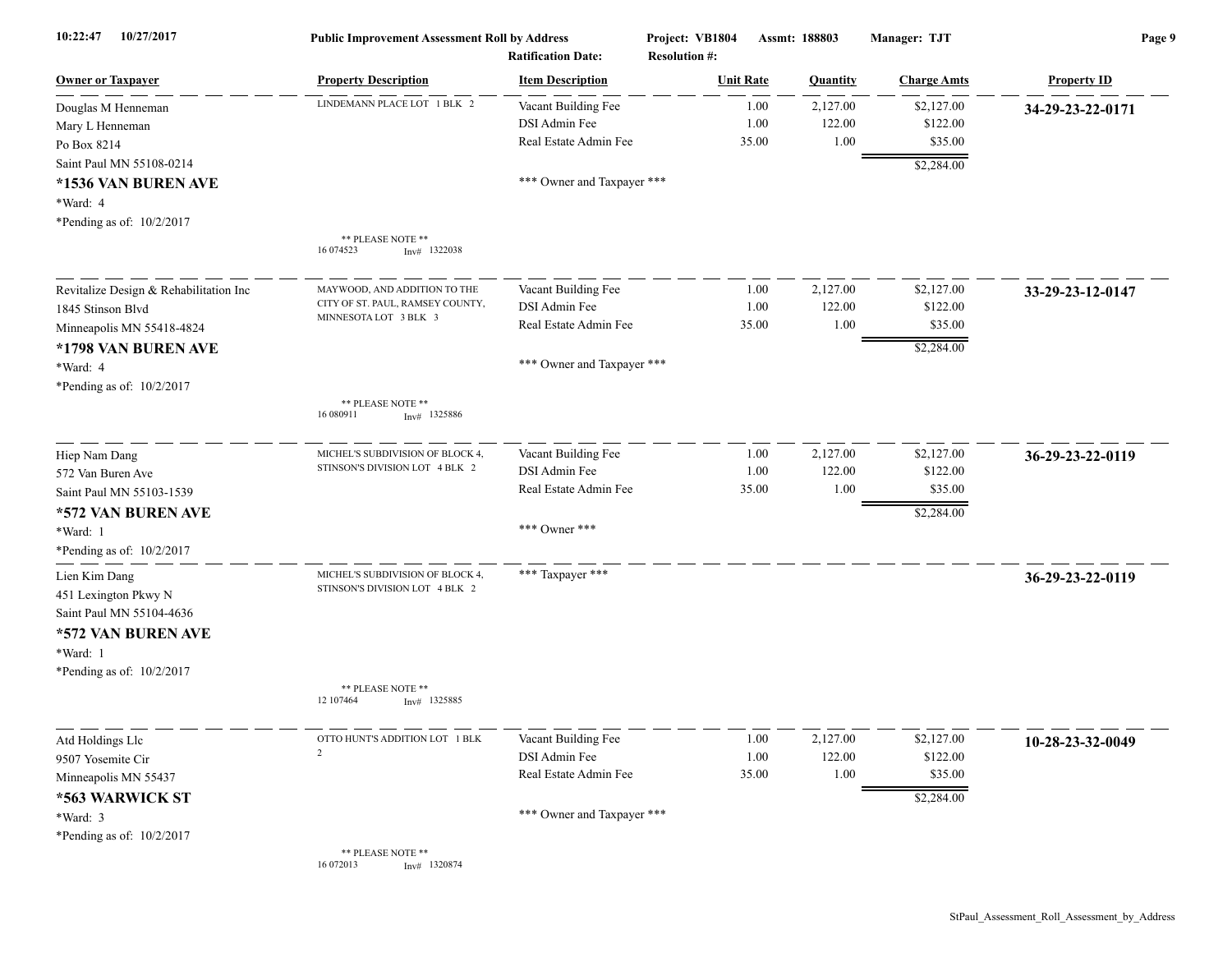| 10/27/2017<br>10:22:47                                                                                                           | <b>Public Improvement Assessment Roll by Address</b>                                      | <b>Ratification Date:</b>                                                                   | Project: VB1804<br><b>Resolution #:</b> | Assmt: 188803              | Manager: TJT                                    | Page 9             |
|----------------------------------------------------------------------------------------------------------------------------------|-------------------------------------------------------------------------------------------|---------------------------------------------------------------------------------------------|-----------------------------------------|----------------------------|-------------------------------------------------|--------------------|
| Owner or Taxpayer                                                                                                                | <b>Property Description</b>                                                               | <b>Item Description</b>                                                                     | <b>Unit Rate</b>                        | Quantity                   | <b>Charge Amts</b>                              | <b>Property ID</b> |
| Douglas M Henneman<br>Mary L Henneman<br>Po Box 8214                                                                             | LINDEMANN PLACE LOT 1 BLK 2                                                               | Vacant Building Fee<br>DSI Admin Fee<br>Real Estate Admin Fee                               | 1.00<br>1.00<br>35.00                   | 2,127.00<br>122.00<br>1.00 | \$2,127.00<br>\$122.00<br>\$35.00               | 34-29-23-22-0171   |
| Saint Paul MN 55108-0214<br>*1536 VAN BUREN AVE<br>*Ward: 4<br>*Pending as of: 10/2/2017                                         | ** PLEASE NOTE **                                                                         | *** Owner and Taxpayer ***                                                                  |                                         |                            | \$2,284.00                                      |                    |
|                                                                                                                                  | 16 074523<br>$Inv#$ 1322038                                                               |                                                                                             |                                         |                            |                                                 |                    |
| Revitalize Design & Rehabilitation Inc<br>1845 Stinson Blvd<br>Minneapolis MN 55418-4824<br>*1798 VAN BUREN AVE<br>*Ward: 4      | MAYWOOD, AND ADDITION TO THE<br>CITY OF ST. PAUL, RAMSEY COUNTY,<br>MINNESOTA LOT 3 BLK 3 | Vacant Building Fee<br>DSI Admin Fee<br>Real Estate Admin Fee<br>*** Owner and Taxpayer *** | 1.00<br>1.00<br>35.00                   | 2,127.00<br>122.00<br>1.00 | \$2,127.00<br>\$122.00<br>\$35.00<br>\$2,284.00 | 33-29-23-12-0147   |
| *Pending as of: 10/2/2017                                                                                                        | ** PLEASE NOTE **<br>16 080911<br>$Inv#$ 1325886                                          |                                                                                             |                                         |                            |                                                 |                    |
| Hiep Nam Dang<br>572 Van Buren Ave<br>Saint Paul MN 55103-1539<br>*572 VAN BUREN AVE<br>*Ward: 1<br>*Pending as of: 10/2/2017    | MICHEL'S SUBDIVISION OF BLOCK 4<br>STINSON'S DIVISION LOT 4 BLK 2                         | Vacant Building Fee<br>DSI Admin Fee<br>Real Estate Admin Fee<br>*** Owner ***              | 1.00<br>1.00<br>35.00                   | 2,127.00<br>122.00<br>1.00 | \$2,127.00<br>\$122.00<br>\$35.00<br>\$2,284.00 | 36-29-23-22-0119   |
| Lien Kim Dang<br>451 Lexington Pkwy N<br>Saint Paul MN 55104-4636<br>*572 VAN BUREN AVE<br>*Ward: 1<br>*Pending as of: 10/2/2017 | MICHEL'S SUBDIVISION OF BLOCK 4.<br>STINSON'S DIVISION LOT 4 BLK 2                        | *** Taxpayer ***                                                                            |                                         |                            |                                                 | 36-29-23-22-0119   |
|                                                                                                                                  | ** PLEASE NOTE **<br>12 107464<br>$Inv#$ 1325885                                          |                                                                                             |                                         |                            |                                                 |                    |
| Atd Holdings Llc<br>9507 Yosemite Cir<br>Minneapolis MN 55437<br>*563 WARWICK ST<br>*Ward: 3                                     | OTTO HUNT'S ADDITION LOT 1 BLK<br>$\mathcal{L}$                                           | Vacant Building Fee<br>DSI Admin Fee<br>Real Estate Admin Fee<br>*** Owner and Taxpayer *** | 1.00<br>1.00<br>35.00                   | 2,127.00<br>122.00<br>1.00 | \$2,127.00<br>\$122.00<br>\$35.00<br>\$2,284.00 | 10-28-23-32-0049   |
| *Pending as of: 10/2/2017                                                                                                        | ** PLEASE NOTE **<br>16 072013<br>$Inv#$ 1320874                                          |                                                                                             |                                         |                            |                                                 |                    |